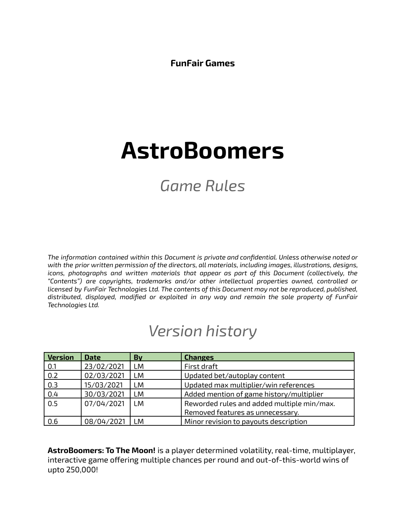**FunFair Games**

# **AstroBoomers**

# *Game Rules*

*The information contained within this Document is private and confidential. Unless otherwise noted or with the prior written permission of the directors, all materials, including images, illustrations, designs, icons, photographs and written materials that appear as part of this Document (collectively, the "Contents") are copyrights, trademarks and/or other intellectual properties owned, controlled or licensed by FunFair Technologies Ltd. The contents of this Document may not be reproduced, published, distributed, displayed, modified or exploited in any way and remain the sole property of FunFair Technologies Ltd.*

# *Version history*

| Version | <b>Date</b> | By        | <b>Changes</b>                             |
|---------|-------------|-----------|--------------------------------------------|
| 0.1     | 23/02/2021  | LM        | First draft                                |
| 0.2     | 02/03/2021  | <b>LM</b> | Updated bet/autoplay content               |
| 0.3     | 15/03/2021  | LМ        | Updated max multiplier/win references      |
| 0.4     | 30/03/2021  | <b>LM</b> | Added mention of game history/multiplier   |
| 0.5     | 07/04/2021  | <b>LM</b> | Reworded rules and added multiple min/max. |
|         |             |           | Removed features as unnecessary.           |
| 0.6     | 08/04/2021  | LМ        | Minor revision to payouts description      |

**AstroBoomers: To The Moon!** is a player determined volatility, real-time, multiplayer, interactive game offering multiple chances per round and out-of-this-world wins of upto 250,000!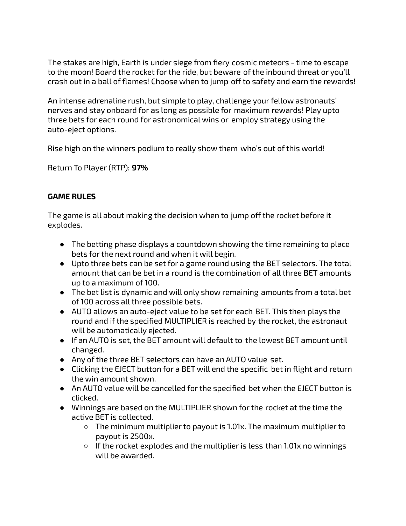The stakes are high, Earth is under siege from fiery cosmic meteors - time to escape to the moon! Board the rocket for the ride, but beware of the inbound threat or you'll crash out in a ball of flames! Choose when to jump off to safety and earn the rewards!

An intense adrenaline rush, but simple to play, challenge your fellow astronauts' nerves and stay onboard for as long as possible for maximum rewards! Play upto three bets for each round for astronomical wins or employ strategy using the auto-eject options.

Rise high on the winners podium to really show them who's out ofthis world!

Return To Player (RTP): **97%**

## **GAME RULES**

The game is all about making the decision when to jump off the rocket before it explodes.

- The betting phase displays a countdown showing the time remaining to place bets for the next round and when it will begin.
- Upto three bets can be set for a game round using the BET selectors. The total amount that can be bet in a round is the combination of all three BET amounts up to a maximum of 100.
- The bet list is dynamic and will only show remaining amounts from a total bet of 100 across all three possible bets.
- AUTO allows an auto-eject value to be set for each BET. This then plays the round and ifthe specified MULTIPLIER is reached by the rocket, the astronaut will be automatically ejected.
- If an AUTO is set, the BET amount will default to the lowest BET amount until changed.
- Any of the three BET selectors can have an AUTO value set.
- Clicking the EJECT button for a BET will end the specific bet in flight and return the win amount shown.
- An AUTO value will be cancelled for the specified bet when the EJECT button is clicked.
- Winnings are based on the MULTIPLIER shown for the rocket at the time the active BET is collected.
	- The minimum multiplier to payout is 1.01x. The maximum multiplier to payout is 2500x.
	- Ifthe rocket explodes and the multiplier is less than 1.01x no winnings will be awarded.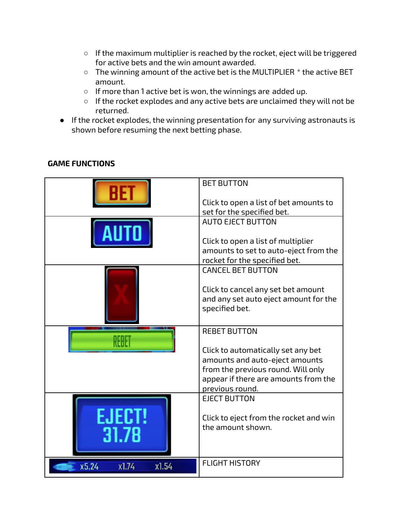- Ifthe maximum multiplier is reached by the rocket, eject will be triggered for active bets and the win amount awarded.
- The winning amount of the active bet is the MULTIPLIER \* the active BET amount.
- If more than 1 active bet is won, the winnings are added up.
- Ifthe rocket explodes and any active bets are unclaimed they will not be returned.
- Ifthe rocket explodes, the winning presentation for any surviving astronauts is shown before resuming the next betting phase.

|                         | <b>BET BUTTON</b>                                                                                                                                                     |
|-------------------------|-----------------------------------------------------------------------------------------------------------------------------------------------------------------------|
|                         | Click to open a list of bet amounts to<br>set for the specified bet.                                                                                                  |
|                         | <b>AUTO EJECT BUTTON</b>                                                                                                                                              |
|                         | Click to open a list of multiplier<br>amounts to set to auto-eject from the<br>rocket for the specified bet.                                                          |
|                         | <b>CANCEL BET BUTTON</b>                                                                                                                                              |
|                         | Click to cancel any set bet amount<br>and any set auto eject amount for the<br>specified bet.                                                                         |
|                         | <b>REBET BUTTON</b>                                                                                                                                                   |
|                         | Click to automatically set any bet<br>amounts and auto-eject amounts<br>from the previous round. Will only<br>appear if there are amounts from the<br>previous round. |
|                         | <b>EJECT BUTTON</b>                                                                                                                                                   |
| EJECT!<br>31.78         | Click to eject from the rocket and win<br>the amount shown.                                                                                                           |
| x5.24<br>x1.54<br>x1.74 | <b>FLIGHT HISTORY</b>                                                                                                                                                 |

# **GAME FUNCTIONS**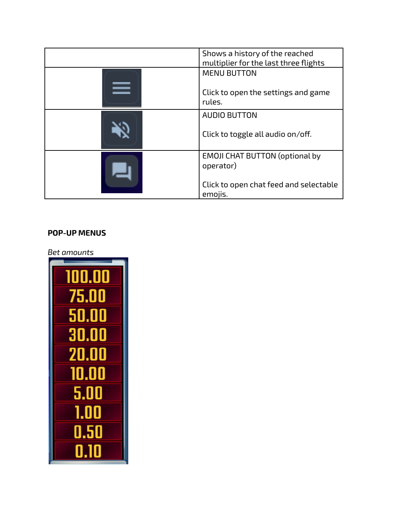| Shows a history of the reached<br>multiplier for the last three flights                                 |
|---------------------------------------------------------------------------------------------------------|
| <b>MENU BUTTON</b><br>Click to open the settings and game<br>rules.                                     |
| <b>AUDIO BUTTON</b><br>Click to toggle all audio on/off.                                                |
| <b>EMOJI CHAT BUTTON (optional by</b><br>operator)<br>Click to open chat feed and selectable<br>emojis. |

#### **POP-UP MENUS**

*Bet amounts*

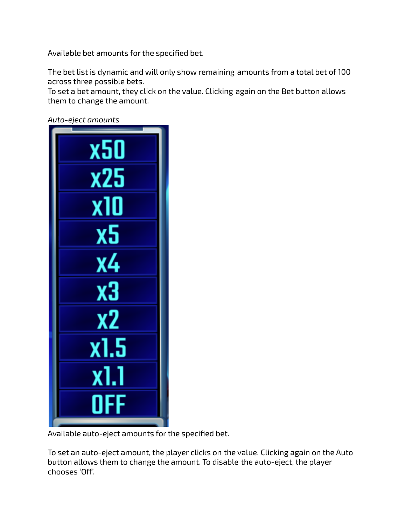Available bet amounts for the specified bet.

The bet list is dynamic and will only show remaining amounts from a total bet of 100 across three possible bets.

To set a bet amount, they click on the value. Clicking again on the Bet button allows them to change the amount.

*Auto-eject amounts*

| x50  |  |
|------|--|
| x25  |  |
| x10  |  |
| х5   |  |
| χ4   |  |
| x3   |  |
| x2   |  |
| x1.5 |  |
| x1.1 |  |
| OFF  |  |
|      |  |

Available auto-eject amounts for the specified bet.

To set an auto-eject amount, the player clicks on the value. Clicking again on the Auto button allows them to change the amount. To disable the auto-eject, the player chooses 'Off'.